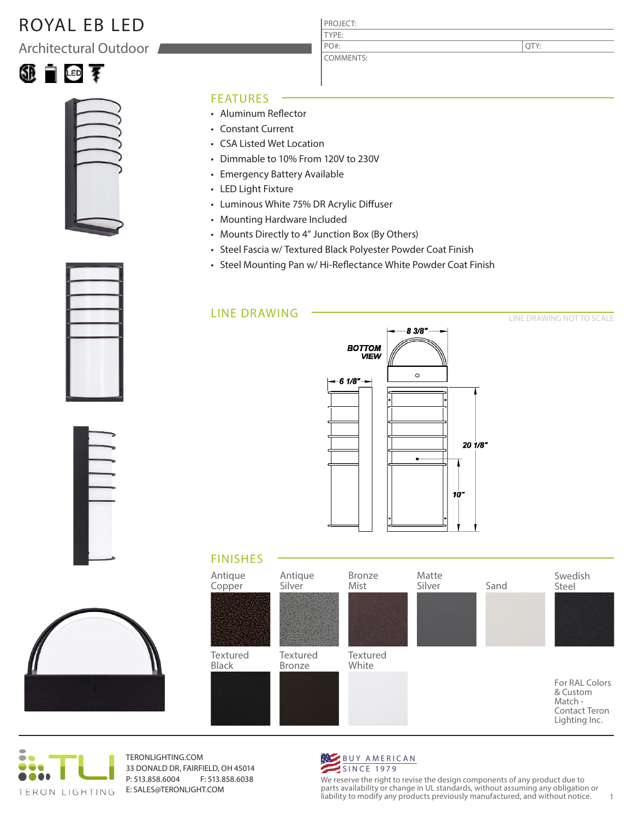# ROYAL EB LED

Architectural Outdoor





#### FEATURES

- Aluminum Reflector
- Constant Current
- CSA Listed Wet Location
- Dimmable to 10% From 120V to 230V
- Emergency Battery Available
- LED Light Fixture
- Luminous White 75% DR Acrylic Diffuser
- Mounting Hardware Included
- Mounts Directly to 4" Junction Box (By Others)
- Steel Fascia w/ Textured Black Polyester Powder Coat Finish

PROJECT: TYPE:

PO#:

COMMENTS:

• Steel Mounting Pan w/ Hi-Reflectance White Powder Coat Finish

### LINE DRAWING



#### LINE DRAWING NOT TO SCALE







TERONLIGHTING.COM 33 DONALD DR, FAIRFIELD, OH 45014 P: 513.858.6004 F: 513.858.6038 E: SALES@TERONLIGHT.COM



We reserve the right to revise the design components of any product due to parts availability or change in UL standards, without assuming any obligation or liability to modify any products previously manufactured, and without notice. 1